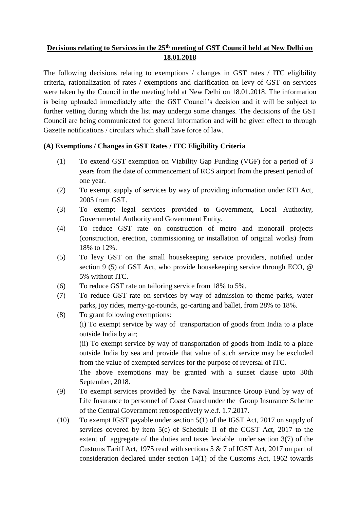## **Decisions relating to Services in the 25th meeting of GST Council held at New Delhi on 18.01.2018**

The following decisions relating to exemptions / changes in GST rates / ITC eligibility criteria, rationalization of rates / exemptions and clarification on levy of GST on services were taken by the Council in the meeting held at New Delhi on 18.01.2018. The information is being uploaded immediately after the GST Council's decision and it will be subject to further vetting during which the list may undergo some changes. The decisions of the GST Council are being communicated for general information and will be given effect to through Gazette notifications / circulars which shall have force of law.

## **(A) Exemptions / Changes in GST Rates / ITC Eligibility Criteria**

- (1) To extend GST exemption on Viability Gap Funding (VGF) for a period of 3 years from the date of commencement of RCS airport from the present period of one year.
- (2) To exempt supply of services by way of providing information under RTI Act, 2005 from GST.
- (3) To exempt legal services provided to Government, Local Authority, Governmental Authority and Government Entity.
- (4) To reduce GST rate on construction of metro and monorail projects (construction, erection, commissioning or installation of original works) from 18% to 12%.
- (5) To levy GST on the small housekeeping service providers, notified under section 9 (5) of GST Act, who provide housekeeping service through ECO, @ 5% without ITC.
- (6) To reduce GST rate on tailoring service from 18% to 5%.
- (7) To reduce GST rate on services by way of admission to theme parks, water parks, joy rides, merry-go-rounds, go-carting and ballet, from 28% to 18%.
- (8) To grant following exemptions:

(i) To exempt service by way of transportation of goods from India to a place outside India by air;

(ii) To exempt service by way of transportation of goods from India to a place outside India by sea and provide that value of such service may be excluded from the value of exempted services for the purpose of reversal of ITC.

The above exemptions may be granted with a sunset clause upto 30th September, 2018.

- (9) To exempt services provided by the Naval Insurance Group Fund by way of Life Insurance to personnel of Coast Guard under the Group Insurance Scheme of the Central Government retrospectively w.e.f. 1.7.2017.
- (10) To exempt IGST payable under section 5(1) of the IGST Act, 2017 on supply of services covered by item 5(c) of Schedule II of the CGST Act, 2017 to the extent of aggregate of the duties and taxes leviable under section 3(7) of the Customs Tariff Act, 1975 read with sections 5 & 7 of IGST Act, 2017 on part of consideration declared under section 14(1) of the Customs Act, 1962 towards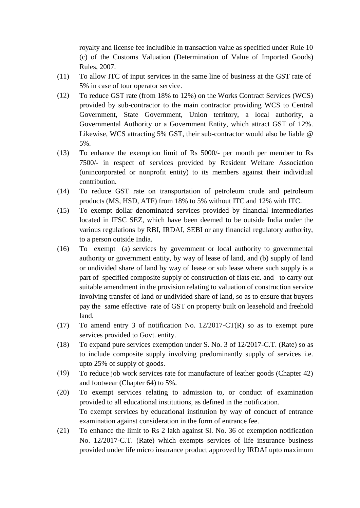royalty and license fee includible in transaction value as specified under Rule 10 (c) of the Customs Valuation (Determination of Value of Imported Goods) Rules, 2007.

- (11) To allow ITC of input services in the same line of business at the GST rate of 5% in case of tour operator service.
- (12) To reduce GST rate (from 18% to 12%) on the Works Contract Services (WCS) provided by sub-contractor to the main contractor providing WCS to Central Government, State Government, Union territory, a local authority, a Governmental Authority or a Government Entity, which attract GST of 12%. Likewise, WCS attracting 5% GST, their sub-contractor would also be liable @ 5%.
- (13) To enhance the exemption limit of Rs 5000/- per month per member to Rs 7500/- in respect of services provided by Resident Welfare Association (unincorporated or nonprofit entity) to its members against their individual contribution.
- (14) To reduce GST rate on transportation of petroleum crude and petroleum products (MS, HSD, ATF) from 18% to 5% without ITC and 12% with ITC.
- (15) To exempt dollar denominated services provided by financial intermediaries located in IFSC SEZ, which have been deemed to be outside India under the various regulations by RBI, IRDAI, SEBI or any financial regulatory authority, to a person outside India.
- (16) To exempt (a) services by government or local authority to governmental authority or government entity, by way of lease of land, and (b) supply of land or undivided share of land by way of lease or sub lease where such supply is a part of specified composite supply of construction of flats etc. and to carry out suitable amendment in the provision relating to valuation of construction service involving transfer of land or undivided share of land, so as to ensure that buyers pay the same effective rate of GST on property built on leasehold and freehold land.
- (17) To amend entry 3 of notification No. 12/2017-CT(R) so as to exempt pure services provided to Govt. entity.
- (18) To expand pure services exemption under S. No. 3 of 12/2017-C.T. (Rate) so as to include composite supply involving predominantly supply of services i.e. upto 25% of supply of goods.
- (19) To reduce job work services rate for manufacture of leather goods (Chapter 42) and footwear (Chapter 64) to 5%.
- (20) To exempt services relating to admission to, or conduct of examination provided to all educational institutions, as defined in the notification. To exempt services by educational institution by way of conduct of entrance examination against consideration in the form of entrance fee.
- (21) To enhance the limit to Rs 2 lakh against Sl. No. 36 of exemption notification No. 12/2017-C.T. (Rate) which exempts services of life insurance business provided under life micro insurance product approved by IRDAI upto maximum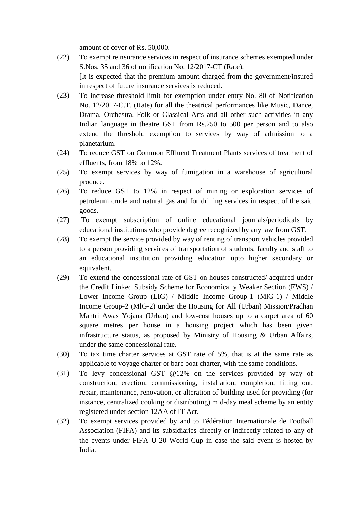amount of cover of Rs. 50,000.

- (22) To exempt reinsurance services in respect of insurance schemes exempted under S.Nos. 35 and 36 of notification No. 12/2017-CT (Rate). [It is expected that the premium amount charged from the government/insured in respect of future insurance services is reduced.]
- (23) To increase threshold limit for exemption under entry No. 80 of Notification No. 12/2017-C.T. (Rate) for all the theatrical performances like Music, Dance, Drama, Orchestra, Folk or Classical Arts and all other such activities in any Indian language in theatre GST from Rs.250 to 500 per person and to also extend the threshold exemption to services by way of admission to a planetarium.
- (24) To reduce GST on Common Effluent Treatment Plants services of treatment of effluents, from 18% to 12%.
- (25) To exempt services by way of fumigation in a warehouse of agricultural produce.
- (26) To reduce GST to 12% in respect of mining or exploration services of petroleum crude and natural gas and for drilling services in respect of the said goods.
- (27) To exempt subscription of online educational journals/periodicals by educational institutions who provide degree recognized by any law from GST.
- (28) To exempt the service provided by way of renting of transport vehicles provided to a person providing services of transportation of students, faculty and staff to an educational institution providing education upto higher secondary or equivalent.
- (29) To extend the concessional rate of GST on houses constructed/ acquired under the Credit Linked Subsidy Scheme for Economically Weaker Section (EWS) / Lower Income Group (LIG) / Middle Income Group-1 (MlG-1) / Middle Income Group-2 (MlG-2) under the Housing for All (Urban) Mission/Pradhan Mantri Awas Yojana (Urban) and low-cost houses up to a carpet area of 60 square metres per house in a housing project which has been given infrastructure status, as proposed by Ministry of Housing & Urban Affairs, under the same concessional rate.
- (30) To tax time charter services at GST rate of 5%, that is at the same rate as applicable to voyage charter or bare boat charter, with the same conditions.
- (31) To levy concessional GST @12% on the services provided by way of construction, erection, commissioning, installation, completion, fitting out, repair, maintenance, renovation, or alteration of building used for providing (for instance, centralized cooking or distributing) mid-day meal scheme by an entity registered under section 12AA of IT Act.
- (32) To exempt services provided by and to Fédération Internationale de Football Association (FIFA) and its subsidiaries directly or indirectly related to any of the events under FIFA U-20 World Cup in case the said event is hosted by India.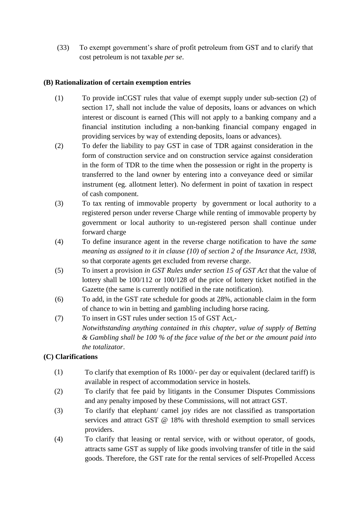(33) To exempt government's share of profit petroleum from GST and to clarify that cost petroleum is not taxable *per se*.

## **(B) Rationalization of certain exemption entries**

- (1) To provide inCGST rules that value of exempt supply under sub-section (2) of section 17, shall not include the value of deposits, loans or advances on which interest or discount is earned (This will not apply to a banking company and a financial institution including a non-banking financial company engaged in providing services by way of extending deposits, loans or advances).
- (2) To defer the liability to pay GST in case of TDR against consideration in the form of construction service and on construction service against consideration in the form of TDR to the time when the possession or right in the property is transferred to the land owner by entering into a conveyance deed or similar instrument (eg. allotment letter). No deferment in point of taxation in respect of cash component.
- (3) To tax renting of immovable property by government or local authority to a registered person under reverse Charge while renting of immovable property by government or local authority to un-registered person shall continue under forward charge
- (4) To define insurance agent in the reverse charge notification to have *the same meaning as assigned to it in clause (10) of section 2 of the Insurance Act, 1938,* so that corporate agents get excluded from reverse charge.
- (5) To insert a provision *in GST Rules under section 15 of GST Act* that the value of lottery shall be 100/112 or 100/128 of the price of lottery ticket notified in the Gazette (the same is currently notified in the rate notification).
- (6) To add, in the GST rate schedule for goods at 28%, actionable claim in the form of chance to win in betting and gambling including horse racing.
- (7) To insert in GST rules under section 15 of GST Act,- *Notwithstanding anything contained in this chapter, value of supply of Betting & Gambling shall be 100 % of the face value of the bet or the amount paid into the totalizator*.

## **(C) Clarifications**

- (1) To clarify that exemption of Rs 1000/- per day or equivalent (declared tariff) is available in respect of accommodation service in hostels.
- (2) To clarify that fee paid by litigants in the Consumer Disputes Commissions and any penalty imposed by these Commissions, will not attract GST.
- (3) To clarify that elephant/ camel joy rides are not classified as transportation services and attract GST @ 18% with threshold exemption to small services providers.
- (4) To clarify that leasing or rental service, with or without operator, of goods, attracts same GST as supply of like goods involving transfer of title in the said goods. Therefore, the GST rate for the rental services of self-Propelled Access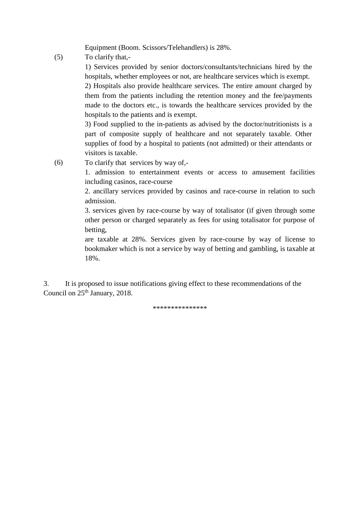Equipment (Boom. Scissors/Telehandlers) is 28%.

(5) To clarify that,-

1) Services provided by senior doctors/consultants/technicians hired by the hospitals, whether employees or not, are healthcare services which is exempt.

2) Hospitals also provide healthcare services. The entire amount charged by them from the patients including the retention money and the fee/payments made to the doctors etc., is towards the healthcare services provided by the hospitals to the patients and is exempt.

3) Food supplied to the in-patients as advised by the doctor/nutritionists is a part of composite supply of healthcare and not separately taxable. Other supplies of food by a hospital to patients (not admitted) or their attendants or visitors is taxable.

(6) To clarify that services by way of,-

1. admission to entertainment events or access to amusement facilities including casinos, race-course

2. ancillary services provided by casinos and race-course in relation to such admission.

3. services given by race-course by way of totalisator (if given through some other person or charged separately as fees for using totalisator for purpose of betting,

are taxable at 28%. Services given by race-course by way of license to bookmaker which is not a service by way of betting and gambling, is taxable at 18%.

3. It is proposed to issue notifications giving effect to these recommendations of the Council on  $25<sup>th</sup>$  January, 2018.

\*\*\*\*\*\*\*\*\*\*\*\*\*\*\*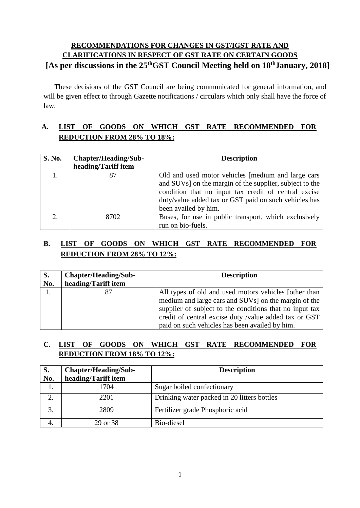# **RECOMMENDATIONS FOR CHANGES IN GST/IGST RATE AND CLARIFICATIONS IN RESPECT OF GST RATE ON CERTAIN GOODS** [As per discussions in the 25<sup>th</sup>GST Council Meeting held on 18<sup>th</sup>January, 2018]

These decisions of the GST Council are being communicated for general information, and will be given effect to through Gazette notifications / circulars which only shall have the force of law.

# **A. LIST OF GOODS ON WHICH GST RATE RECOMMENDED FOR REDUCTION FROM 28% TO 18%:**

| <b>S. No.</b> | Chapter/Heading/Sub- | <b>Description</b>                                                                                                                                                                                                                                     |  |
|---------------|----------------------|--------------------------------------------------------------------------------------------------------------------------------------------------------------------------------------------------------------------------------------------------------|--|
|               | heading/Tariff item  |                                                                                                                                                                                                                                                        |  |
|               | 87                   | Old and used motor vehicles [medium and large cars<br>and SUVs] on the margin of the supplier, subject to the<br>condition that no input tax credit of central excise<br>duty/value added tax or GST paid on such vehicles has<br>been availed by him. |  |
| ↑             | 8702                 | Buses, for use in public transport, which exclusively<br>run on bio-fuels.                                                                                                                                                                             |  |

# **B. LIST OF GOODS ON WHICH GST RATE RECOMMENDED FOR REDUCTION FROM 28% TO 12%:**

| S.<br>No. | <b>Chapter/Heading/Sub-</b><br><b>Description</b><br>heading/Tariff item |                                                                                                                                                                                                                                                                                     |
|-----------|--------------------------------------------------------------------------|-------------------------------------------------------------------------------------------------------------------------------------------------------------------------------------------------------------------------------------------------------------------------------------|
|           |                                                                          | All types of old and used motors vehicles [other than<br>medium and large cars and SUVs] on the margin of the<br>supplier of subject to the conditions that no input tax<br>credit of central excise duty /value added tax or GST<br>paid on such vehicles has been availed by him. |

## **C. LIST OF GOODS ON WHICH GST RATE RECOMMENDED FOR REDUCTION FROM 18% TO 12%:**

| S.  | Chapter/Heading/Sub- | <b>Description</b>                          |  |
|-----|----------------------|---------------------------------------------|--|
| No. | heading/Tariff item  |                                             |  |
|     | 1704                 | Sugar boiled confectionary                  |  |
|     | 2201                 | Drinking water packed in 20 litters bottles |  |
|     | 2809                 | Fertilizer grade Phosphoric acid            |  |
|     | 29 or 38             | Bio-diesel                                  |  |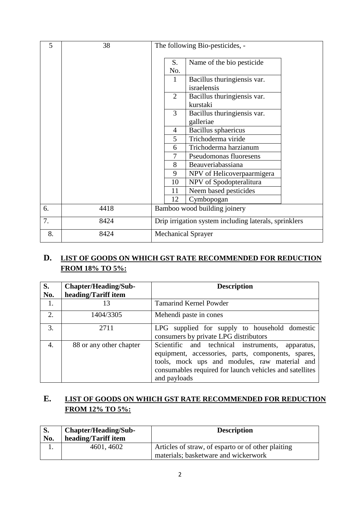| 5  | 38   | The following Bio-pesticides, -                       |                                            |  |
|----|------|-------------------------------------------------------|--------------------------------------------|--|
|    |      | S.<br>No.                                             | Name of the bio pesticide                  |  |
|    |      | 1                                                     | Bacillus thuringiensis var.<br>israelensis |  |
|    |      | $\overline{2}$                                        | Bacillus thuringiensis var.<br>kurstaki    |  |
|    |      | 3                                                     | Bacillus thuringiensis var.<br>galleriae   |  |
|    |      | $\overline{4}$                                        | Bacillus sphaericus                        |  |
|    |      | 5<br>Trichoderma viride                               |                                            |  |
|    |      | 6                                                     | Trichoderma harzianum                      |  |
|    |      | 7                                                     | Pseudomonas fluoresens                     |  |
|    |      | 8                                                     | Beauveriabassiana                          |  |
|    |      | 9<br>NPV of Helicoverpaarmigera                       |                                            |  |
|    |      | 10<br>NPV of Spodopteralitura                         |                                            |  |
|    |      | Neem based pesticides<br>11                           |                                            |  |
|    |      | 12                                                    | Cymbopogan                                 |  |
| 6. | 4418 | Bamboo wood building joinery                          |                                            |  |
| 7. | 8424 | Drip irrigation system including laterals, sprinklers |                                            |  |
| 8. | 8424 | <b>Mechanical Sprayer</b>                             |                                            |  |

# **D. LIST OF GOODS ON WHICH GST RATE RECOMMENDED FOR REDUCTION FROM 18% TO 5%:**

| S.  | <b>Chapter/Heading/Sub-</b> | <b>Description</b>                                                                                                                                                                                                                    |  |  |
|-----|-----------------------------|---------------------------------------------------------------------------------------------------------------------------------------------------------------------------------------------------------------------------------------|--|--|
| No. | heading/Tariff item         |                                                                                                                                                                                                                                       |  |  |
| 1.  | 13                          | <b>Tamarind Kernel Powder</b>                                                                                                                                                                                                         |  |  |
| 2.  | 1404/3305                   | Mehendi paste in cones                                                                                                                                                                                                                |  |  |
| 3.  | 2711                        | LPG supplied for supply to household domestic<br>consumers by private LPG distributors                                                                                                                                                |  |  |
| 4.  | 88 or any other chapter     | Scientific and technical instruments,<br>apparatus,<br>equipment, accessories, parts, components, spares,<br>tools, mock ups and modules, raw material and<br>consumables required for launch vehicles and satellites<br>and payloads |  |  |

# **E. LIST OF GOODS ON WHICH GST RATE RECOMMENDED FOR REDUCTION FROM 12% TO 5%:**

| <b>S.</b><br>No. | <b>Chapter/Heading/Sub-</b><br>heading/Tariff item | <b>Description</b>                                                                         |
|------------------|----------------------------------------------------|--------------------------------------------------------------------------------------------|
| . .              | 4601, 4602                                         | Articles of straw, of esparto or of other plaiting<br>materials; basketware and wickerwork |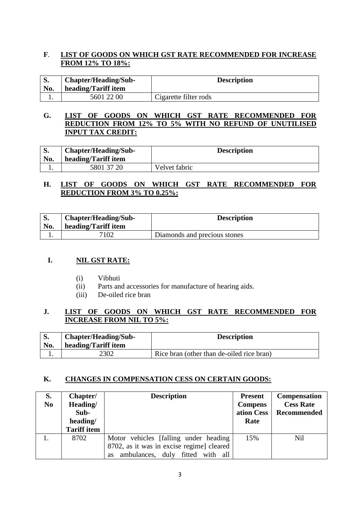#### **F**. **LIST OF GOODS ON WHICH GST RATE RECOMMENDED FOR INCREASE FROM 12% TO 18%:**

| D.<br>No. | <b>Chapter/Heading/Sub-</b><br>heading/Tariff item | <b>Description</b>    |
|-----------|----------------------------------------------------|-----------------------|
|           | 5601 22 00                                         | Cigarette filter rods |

#### **G. LIST OF GOODS ON WHICH GST RATE RECOMMENDED FOR REDUCTION FROM 12% TO 5% WITH NO REFUND OF UNUTILISED INPUT TAX CREDIT:**

| No. | Chapter/Heading/Sub-<br>heading/Tariff item | <b>Description</b> |
|-----|---------------------------------------------|--------------------|
|     | 5801 37 20                                  | Velvet fabric      |

#### **H. LIST OF GOODS ON WHICH GST RATE RECOMMENDED FOR REDUCTION FROM 3% TO 0.25%:**

| No. | Chapter/Heading/Sub-<br>heading/Tariff item | <b>Description</b>           |  |
|-----|---------------------------------------------|------------------------------|--|
|     | 7102                                        | Diamonds and precious stones |  |

#### **I. NIL GST RATE:**

- (i) Vibhuti
- (ii) Parts and accessories for manufacture of hearing aids.
- (iii) De-oiled rice bran

## **J. LIST OF GOODS ON WHICH GST RATE RECOMMENDED FOR INCREASE FROM NIL TO 5%:**

| No. | Chapter/Heading/Sub-<br>heading/Tariff item | <b>Description</b>                        |
|-----|---------------------------------------------|-------------------------------------------|
|     | 2302                                        | Rice bran (other than de-oiled rice bran) |

#### **K. CHANGES IN COMPENSATION CESS ON CERTAIN GOODS:**

| S.<br>N <sub>0</sub> | Chapter/<br>Heading/<br>Sub-<br>heading/<br><b>Tariff item</b> | <b>Description</b>                                                                                                              | <b>Present</b><br><b>Compens</b><br>ation Cess<br>Rate | <b>Compensation</b><br><b>Cess Rate</b><br>Recommended |
|----------------------|----------------------------------------------------------------|---------------------------------------------------------------------------------------------------------------------------------|--------------------------------------------------------|--------------------------------------------------------|
|                      | 8702                                                           | Motor vehicles [falling under heading<br>8702, as it was in excise regime] cleared<br>ambulances,<br>duly fitted with all<br>as | 15%                                                    | Nil                                                    |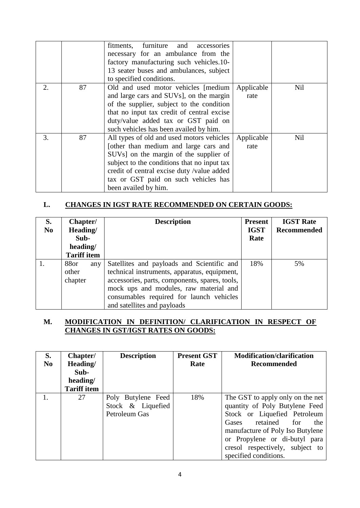|                |    | fitments, furniture and<br>accessories<br>necessary for an ambulance from the<br>factory manufacturing such vehicles.10-<br>13 seater buses and ambulances, subject<br>to specified conditions.                                                                                                        |                    |     |
|----------------|----|--------------------------------------------------------------------------------------------------------------------------------------------------------------------------------------------------------------------------------------------------------------------------------------------------------|--------------------|-----|
| $\mathfrak{D}$ | 87 | Old and used motor vehicles [medium<br>and large cars and SUVs], on the margin<br>of the supplier, subject to the condition<br>that no input tax credit of central excise<br>duty/value added tax or GST paid on<br>such vehicles has been availed by him.                                             | Applicable<br>rate | Nil |
| 3.             | 87 | All types of old and used motors vehicles<br>[other than medium and large cars and<br>SUV <sub>s</sub> ] on the margin of the supplier of<br>subject to the conditions that no input tax<br>credit of central excise duty /value added<br>tax or GST paid on such vehicles has<br>been availed by him. | Applicable<br>rate | Nil |

## **L. CHANGES IN IGST RATE RECOMMENDED ON CERTAIN GOODS:**

| S.<br>N <sub>0</sub> | Chapter/<br>Heading/<br>Sub-<br>heading/<br><b>Tariff item</b> | <b>Description</b>                                                                                                                                                                                                                                                | <b>Present</b><br><b>IGST</b><br>Rate | <b>IGST Rate</b><br>Recommended |
|----------------------|----------------------------------------------------------------|-------------------------------------------------------------------------------------------------------------------------------------------------------------------------------------------------------------------------------------------------------------------|---------------------------------------|---------------------------------|
|                      | 88or<br>any<br>other<br>chapter                                | Satellites and payloads and Scientific and<br>technical instruments, apparatus, equipment,<br>accessories, parts, components, spares, tools,<br>mock ups and modules, raw material and<br>consumables required for launch vehicles<br>and satellites and payloads | 18%                                   | 5%                              |

## **M. MODIFICATION IN DEFINITION/ CLARIFICATION IN RESPECT OF CHANGES IN GST/IGST RATES ON GOODS:**

| S.<br>N <sub>0</sub> | Chapter/<br>Heading/<br>Sub-<br>heading/<br><b>Tariff item</b> | <b>Description</b>                                       | <b>Present GST</b><br>Rate | <b>Modification/clarification</b><br>Recommended                                                                                                                                                                                                                       |
|----------------------|----------------------------------------------------------------|----------------------------------------------------------|----------------------------|------------------------------------------------------------------------------------------------------------------------------------------------------------------------------------------------------------------------------------------------------------------------|
|                      | 27                                                             | Poly Butylene Feed<br>Stock & Liquefied<br>Petroleum Gas | 18%                        | The GST to apply only on the net<br>quantity of Poly Butylene Feed<br>Stock or Liquefied Petroleum<br>retained<br>Gases<br>the<br>for<br>manufacture of Poly Iso Butylene<br>or Propylene or di-butyl para<br>cresol respectively, subject to<br>specified conditions. |